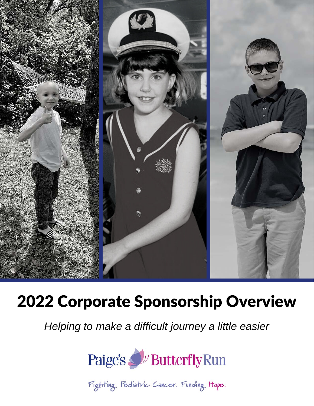

# 2022 Corporate Sponsorship Overview

*Helping to make a difficult journey a little easier*



Fighting Pediatric Cancer. Funding Hope.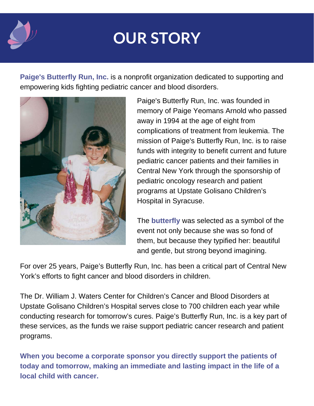

# **OUR STORY**

**Paige's Butterfly Run, Inc.** is a nonprofit organization dedicated to supporting and empowering kids fighting pediatric cancer and blood disorders.



Paige's Butterfly Run, Inc. was founded in memory of Paige Yeomans Arnold who passed away in 1994 at the age of eight from complications of treatment from leukemia. The mission of Paige's Butterfly Run, Inc. is to raise funds with integrity to benefit current and future pediatric cancer patients and their families in Central New York through the sponsorship of pediatric oncology research and patient programs at Upstate Golisano Children's Hospital in Syracuse.

The **butterfly** was selected as a symbol of the event not only because she was so fond of them, but because they typified her: beautiful and gentle, but strong beyond imagining.

For over 25 years, Paige's Butterfly Run, Inc. has been a critical part of Central New York's efforts to fight cancer and blood disorders in children.

The Dr. William J. Waters Center for Children's Cancer and Blood Disorders at Upstate Golisano Children's Hospital serves close to 700 children each year while conducting research for tomorrow's cures. Paige's Butterfly Run, Inc. is a key part of these services, as the funds we raise support pediatric cancer research and patient programs.

**When you become a corporate sponsor you directly support the patients of today and tomorrow, making an immediate and lasting impact in the life of a local child with cancer.**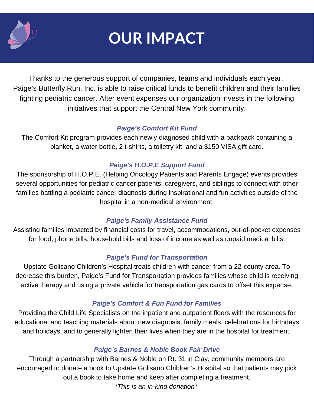

# **OUR IMPACT**

Thanks to the generous support of companies, teams and individuals each year, Paige's Butterfly Run, Inc. is able to raise critical funds to benefit children and their families fighting pediatric cancer. After event expenses our organization invests in the following initiatives that support the Central New York community.

# *Paige's Comfort Kit Fund*

The Comfort Kit program provides each newly diagnosed child with a backpack containing a blanket, a water bottle, 2 t-shirts, a toiletry kit, and a \$150 VISA gift card.

# *Paige's H.O.P.E Support Fund*

The sponsorship of H.O.P.E. (Helping Oncology Patients and Parents Engage) events provides several opportunities for pediatric cancer patients, caregivers, and siblings to connect with other families battling a pediatric cancer diagnosis during inspirational and fun activities outside of the hospital in a non-medical environment.

# *Paige's Family Assistance Fund*

Assisting families impacted by financial costs for travel, accommodations, out-of-pocket expenses for food, phone bills, household bills and loss of income as well as unpaid medical bills.

# *Paige's Fund for Transportation*

Upstate Golisano Children's Hospital treats children with cancer from a 22-county area. To decrease this burden, Paige's Fund for Transportation provides families whose child is receiving active therapy and using a private vehicle for transportation gas cards to offset this expense.

# *Paige's Comfort & Fun Fund for Families*

Providing the Child Life Specialists on the inpatient and outpatient floors with the resources for educational and teaching materials about new diagnosis, family meals, celebrations for birthdays and holidays, and to generally lighten their lives when they are in the hospital for treatment.

# *Paige's Barnes & Noble Book Fair Drive*

Through a partnership with Barnes & Noble on Rt. 31 in Clay, community members are encouraged to donate a book to Upstate Golisano Children's Hospital so that patients may pick out a book to take home and keep after completing a treatment. *\*This is an in-kind donation\**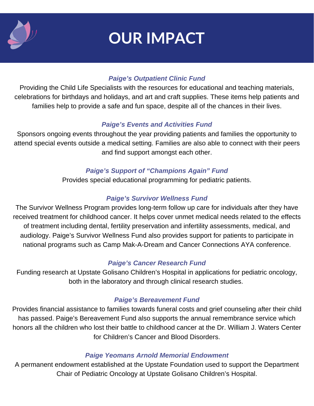

# **OUR IMPACT**

### *Paige's Outpatient Clinic Fund*

Providing the Child Life Specialists with the resources for educational and teaching materials, celebrations for birthdays and holidays, and art and craft supplies. These items help patients and families help to provide a safe and fun space, despite all of the chances in their lives.

# *Paige's Events and Activities Fund*

Sponsors ongoing events throughout the year providing patients and families the opportunity to attend special events outside a medical setting. Families are also able to connect with their peers and find support amongst each other.

# *Paige's Support of "Champions Again" Fund*

Provides special educational programming for pediatric patients.

# *Paige's Survivor Wellness Fund*

The Survivor Wellness Program provides long-term follow up care for individuals after they have received treatment for childhood cancer. It helps cover unmet medical needs related to the effects of treatment including dental, fertility preservation and infertility assessments, medical, and audiology. Paige's Survivor Wellness Fund also provides support for patients to participate in national programs such as Camp Mak-A-Dream and Cancer Connections AYA conference.

### *Paige's Cancer Research Fund*

Funding research at Upstate Golisano Children's Hospital in applications for pediatric oncology, both in the laboratory and through clinical research studies.

# *Paige's Bereavement Fund*

Provides financial assistance to families towards funeral costs and grief counseling after their child has passed. Paige's Bereavement Fund also supports the annual remembrance service which honors all the children who lost their battle to childhood cancer at the Dr. William J. Waters Center for Children's Cancer and Blood Disorders.

# *Paige Yeomans Arnold Memorial Endowment*

A permanent endowment established at the Upstate Foundation used to support the Department Chair of Pediatric Oncology at Upstate Golisano Children's Hospital.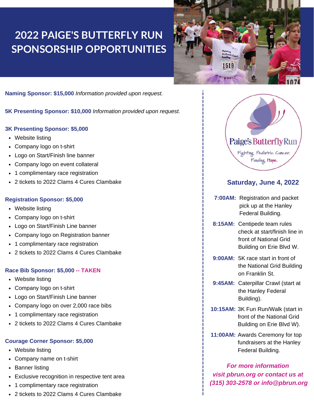# **2022 PAIGE'S BUTTERFLY RUN SPONSORSHIP OPPORTUNITIES**



**Naming Sponsor: \$15,000** *Information provided upon request.*

**5K Presenting Sponsor: \$10,000** *Information provided upon request.*

#### **3K Presenting Sponsor: \$5,000**

- Website listing
- Company logo on t-shirt
- Logo on Start/Finish line banner
- Company logo on event collateral
- 1 complimentary race registration
- 2 tickets to 2022 Clams 4 Cures Clambake

#### **Registration Sponsor: \$5,000**

- Website listing
- Company logo on t-shirt
- Logo on Start/Finish Line banner
- Company logo on Registration banner
- 1 complimentary race registration
- 2 tickets to 2022 Clams 4 Cures Clambake

#### **Race Bib Sponsor: \$5,000 -- TAKEN**

- Website listing
- Company logo on t-shirt
- Logo on Start/Finish Line banner
- Company logo on over 2,000 race bibs
- 1 complimentary race registration
- 2 tickets to 2022 Clams 4 Cures Clambake

#### **Courage Corner Sponsor: \$5,000**

- Website listing
- Company name on t-shirt
- Banner listing
- Exclusive recognition in respective tent area
- 1 complimentary race registration
- 2 tickets to 2022 Clams 4 Cures Clambake



### **Saturday, June 4, 2022**

- **7:00AM:** Registration and packet pick up at the Hanley Federal Building.
- **8:15AM:** Centipede team rules check at start/finish line in front of National Grid Building on Erie Blvd W.
- **9:00AM:** 5K race start in front of the National Grid Building on Franklin St.
- **9:45AM:** Caterpillar Crawl (start at the Hanley Federal Building).
- **10:15AM:** 3K Fun Run/Walk (start in front of the National Grid Building on Erie Blvd W).
- **11:00AM:** Awards Ceremony for top fundraisers at the Hanley Federal Building.

*For more information visit pbrun.org or contact us at (315) 303-2578 or info@pbrun.org*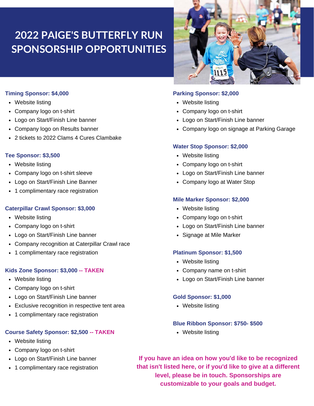# **2022 PAIGE'S BUTTERFLY RUN SPONSORSHIP OPPORTUNITIES**



#### **Timing Sponsor: \$4,000**

- Website listing
- Company logo on t-shirt
- Logo on Start/Finish Line banner
- Company logo on Results banner
- 2 tickets to 2022 Clams 4 Cures Clambake

#### **Tee Sponsor: \$3,500**

- Website listing
- Company logo on t-shirt sleeve
- Logo on Start/Finish Line Banner
- 1 complimentary race registration

#### **Caterpillar Crawl Sponsor: \$3,000**

- Website listing
- Company logo on t-shirt
- Logo on Start/Finish Line banner
- Company recognition at Caterpillar Crawl race
- 1 complimentary race registration

#### **Kids Zone Sponsor: \$3,000 -- TAKEN**

- Website listing
- Company logo on t-shirt
- Logo on Start/Finish Line banner
- Exclusive recognition in respective tent area
- 1 complimentary race registration

#### **Course Safety Sponsor: \$2,500 -- TAKEN**

- Website listing
- Company logo on t-shirt
- Logo on Start/Finish Line banner
- 1 complimentary race registration

#### **Parking Sponsor: \$2,000**

- Website listing
- Company logo on t-shirt
- Logo on Start/Finish Line banner
- Company logo on signage at Parking Garage

#### **Water Stop Sponsor: \$2,000**

- Website listing
- Company logo on t-shirt
- Logo on Start/Finish Line banner
- Company logo at Water Stop

#### **Mile Marker Sponsor: \$2,000**

- Website listing
- Company logo on t-shirt
- Logo on Start/Finish Line banner
- Signage at Mile Marker

#### **Platinum Sponsor: \$1,500**

- Website listing
- Company name on t-shirt
- Logo on Start/Finish Line banner

#### **Gold Sponsor: \$1,000**

• Website listing

#### **Blue Ribbon Sponsor: \$750- \$500**

• Website listing

**If you have an idea on how you'd like to be recognized that isn't listed here, or if you'd like to give at a different level, please be in touch. Sponsorships are customizable to your goals and budget.**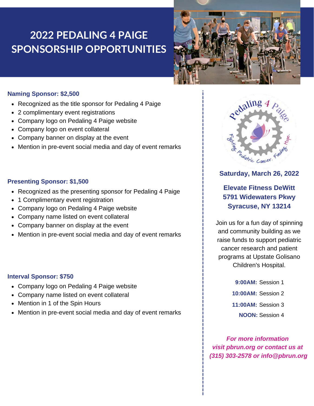# **2022 PEDALING 4 PAIGE SPONSORSHIP OPPORTUNITIES**



#### **Naming Sponsor: \$2,500**

- Recognized as the title sponsor for Pedaling 4 Paige
- 2 complimentary event registrations
- Company logo on Pedaling 4 Paige website
- Company logo on event collateral
- Company banner on display at the event
- Mention in pre-event social media and day of event remarks

#### **Presenting Sponsor: \$1,500**

- Recognized as the presenting sponsor for Pedaling 4 Paige
- 1 Complimentary event registration
- Company logo on Pedaling 4 Paige website
- Company name listed on event collateral
- Company banner on display at the event
- Mention in pre-event social media and day of event remarks

#### **Interval Sponsor: \$750**

- Company logo on Pedaling 4 Paige website
- Company name listed on event collateral
- Mention in 1 of the Spin Hours
- Mention in pre-event social media and day of event remarks



### **Saturday, March 26, 2022**

# **Elevate Fitness DeWitt 5791 Widewaters Pkwy Syracuse, NY 13214**

Join us for a fun day of spinning and community building as we raise funds to support pediatric cancer research and patient programs at Upstate Golisano Children's Hospital.

> **9:00AM:** Session 1 **10:00AM:** Session 2 **11:00AM:** Session 3 **NOON:** Session 4

*For more information visit pbrun.org or contact us at (315) 303-2578 or info@pbrun.org*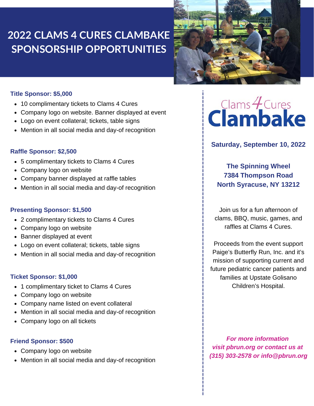# **2022 CLAMS 4 CURES CLAMBAKE SPONSORSHIP OPPORTUNITIES**



#### **Title Sponsor: \$5,000**

- 10 complimentary tickets to Clams 4 Cures
- Company logo on website. Banner displayed at event
- Logo on event collateral; tickets, table signs
- Mention in all social media and day-of recognition

#### **Raffle Sponsor: \$2,500**

- 5 complimentary tickets to Clams 4 Cures
- Company logo on website
- Company banner displayed at raffle tables
- Mention in all social media and day-of recognition

#### **Presenting Sponsor: \$1,500**

- 2 complimentary tickets to Clams 4 Cures
- Company logo on website
- Banner displayed at event
- Logo on event collateral; tickets, table signs
- Mention in all social media and day-of recognition

#### **Ticket Sponsor: \$1,000**

- 1 complimentary ticket to Clams 4 Cures
- Company logo on website
- Company name listed on event collateral
- Mention in all social media and day-of recognition
- Company logo on all tickets

#### **Friend Sponsor: \$500**

- Company logo on website
- Mention in all social media and day-of recognition



**Saturday, September 10, 2022**

**The Spinning Wheel 7384 Thompson Road North Syracuse, NY 13212**

Join us for a fun afternoon of clams, BBQ, music, games, and raffles at Clams 4 Cures.

Proceeds from the event support Paige's Butterfly Run, Inc. and it's mission of supporting current and future pediatric cancer patients and families at Upstate Golisano Children's Hospital.

*For more information visit pbrun.org or contact us at (315) 303-2578 or info@pbrun.org*